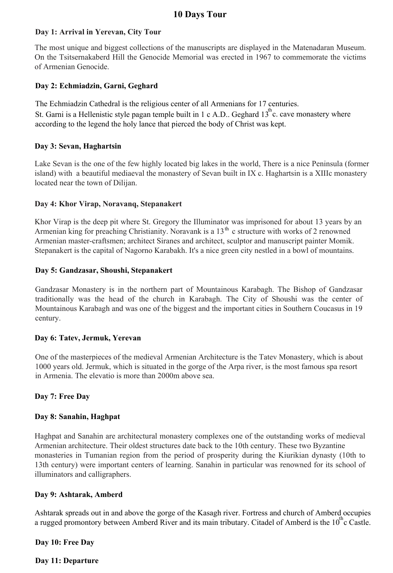# **10 Days Tour**

## **Day 1: Arrival in Yerevan, City Tour**

The most unique and biggest collections of the manuscripts are displayed in the Matenadaran Museum. On the Tsitsernakaberd Hill the Genocide Memorial was erected in 1967 to commemorate the victims of Armenian Genocide.

## **Day 2: Echmiadzin, Garni, Geghard**

The Echmiadzin Cathedral is the religious center of all Armenians for 17 centuries. St. Garni is a Hellenistic style pagan temple built in 1 c A.D.. Geghard  $13^{\text{th}}$ c. cave monastery where according to the legend the holy lance that pierced the body of Christ was kept.

## **Day 3: Sevan, Haghartsin**

Lake Sevan is the one of the few highly located big lakes in the world, There is a nice Peninsula (former island) with a beautiful mediaeval the monastery of Sevan built in IX c. Haghartsin is a XIIIc monastery located near the town of Dilijan.

## **Day 4: Khor Virap, Noravanq, Stepanakert**

Khor Virap is the deep pit where St. Gregory the Illuminator was imprisoned for about 13 years by an Armenian king for preaching Christianity. Noravank is a  $13<sup>th</sup>$  c structure with works of 2 renowned Armenian master-craftsmen; architect Siranes and architect, sculptor and manuscript painter Momik. Stepanakert is the capital of Nagorno Karabakh. It's a nice green city nestled in a bowl of mountains.

## **Day 5: Gandzasar, Shoushi, Stepanakert**

Gandzasar Monastery is in the northern part of Mountainous Karabagh. The Bishop of Gandzasar traditionally was the head of the church in Karabagh. The City of Shoushi was the center of Mountainous Karabagh and was one of the biggest and the important cities in Southern Coucasus in 19 century.

## **Day 6: Tatev, Jermuk, Yerevan**

One of the masterpieces of the medieval Armenian Architecture is the Tatev Monastery, which is about 1000 years old. Jermuk, which is situated in the gorge of the Arpa river, is the most famous spa resort in Armenia. The elevatio is more than 2000m above sea.

## **Day 7: Free Day**

## **Day 8: Sanahin, Haghpat**

Haghpat and Sanahin are architectural monastery complexes one of the outstanding works of medieval Armenian architecture. Their oldest structures date back to the 10th century. These two Byzantine monasteries in Tumanian region from the period of prosperity during the Kiurikian dynasty (10th to 13th century) were important centers of learning. Sanahin in particular was renowned for its school of illuminators and calligraphers.

## **Day 9: Ashtarak, Amberd**

Ashtarak spreads out in and above the gorge of the Kasagh river. Fortress and church of Amberd occupies a rugged promontory between Amberd River and its main tributary. Citadel of Amberd is the  $10<sup>th</sup>$ c Castle.

## **Day 10: Free Day**

## **Day 11: Departure**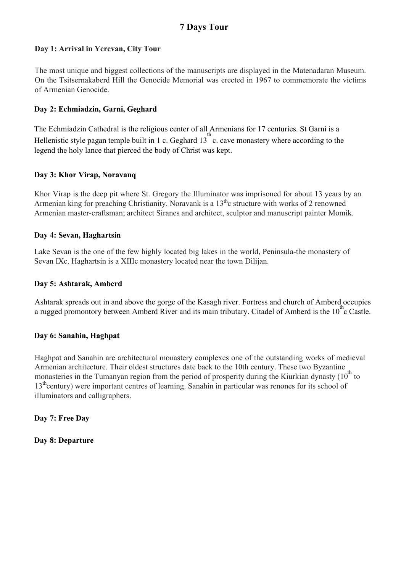# **7 Days Tour**

## **Day 1: Arrival in Yerevan, City Tour**

The most unique and biggest collections of the manuscripts are displayed in the Matenadaran Museum. On the Tsitsernakaberd Hill the Genocide Memorial was erected in 1967 to commemorate the victims of Armenian Genocide.

## **Day 2: Echmiadzin, Garni, Geghard**

The Echmiadzin Cathedral is the religious center of all Armenians for 17 centuries. St Garni is a Hellenistic style pagan temple built in 1 c. Geghard 13 c. cave monastery where according to the legend the holy lance that pierced the body of Christ was kept.

#### **Day 3: Khor Virap, Noravanq**

Khor Virap is the deep pit where St. Gregory the Illuminator was imprisoned for about 13 years by an Armenian king for preaching Christianity. Noravank is a 13<sup>th</sup>c structure with works of 2 renowned Armenian master-craftsman; architect Siranes and architect, sculptor and manuscript painter Momik.

#### **Day 4: Sevan, Haghartsin**

Lake Sevan is the one of the few highly located big lakes in the world, Peninsula-the monastery of Sevan IXc. Haghartsin is a XIIIc monastery located near the town Dilijan.

## **Day 5: Ashtarak, Amberd**

Ashtarak spreads out in and above the gorge of the Kasagh river. Fortress and church of Amberd occupies a rugged promontory between Amberd River and its main tributary. Citadel of Amberd is the  $10^{\circ}$ c Castle.

#### **Day 6: Sanahin, Haghpat**

Haghpat and Sanahin are architectural monastery complexes one of the outstanding works of medieval Armenian architecture. Their oldest structures date back to the 10th century. These two Byzantine monasteries in the Tumanyan region from the period of prosperity during the Kiurkian dynasty  $(10<sup>th</sup>$  to 13<sup>th</sup> century) were important centres of learning. Sanahin in particular was renones for its school of illuminators and calligraphers.

**Day 7: Free Day**

**Day 8: Departure**